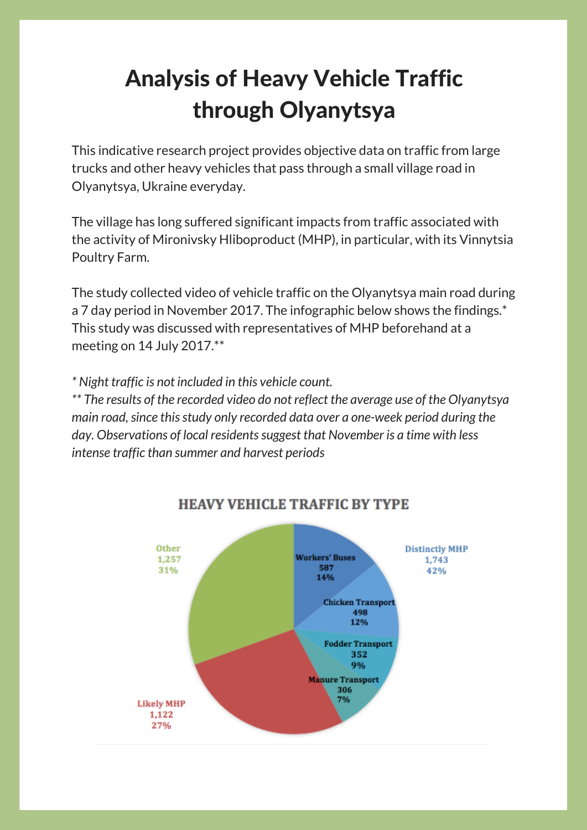## Analysis of Heavy Vehicle Traffic through Olyanytsya

This indicative research project provides objective data on traffic from large trucks and other heavy vehicles that pass through a small village road in Olyanytsya, Ukraine everyday.

The village has long suffered significant impacts from traffic associated with the activity of Mironivsky Hliboproduct (MHP), in particular, with its Vinnytsia Poultry Farm.

The study collected video of vehicle traffic on the Olyanytsya main road during a 7 day period in November 2017. The infographic below shows the findings.\* This study was discussed with representatives of MHP beforehand at a meeting on 14 July 2017.\*\*

*\* Night traffic is not included in this vehicle count.*

*\*\* The results of the recorded video do not reflect the average use of the Olyanytsya main road,since thisstudy only recorded data over a one-week period during the day. Observations of local residentssuggest that November is a time with less intense traffic than summer and harvest periods*



## **HEAVY VEHICLE TRAFFIC BY TYPE**